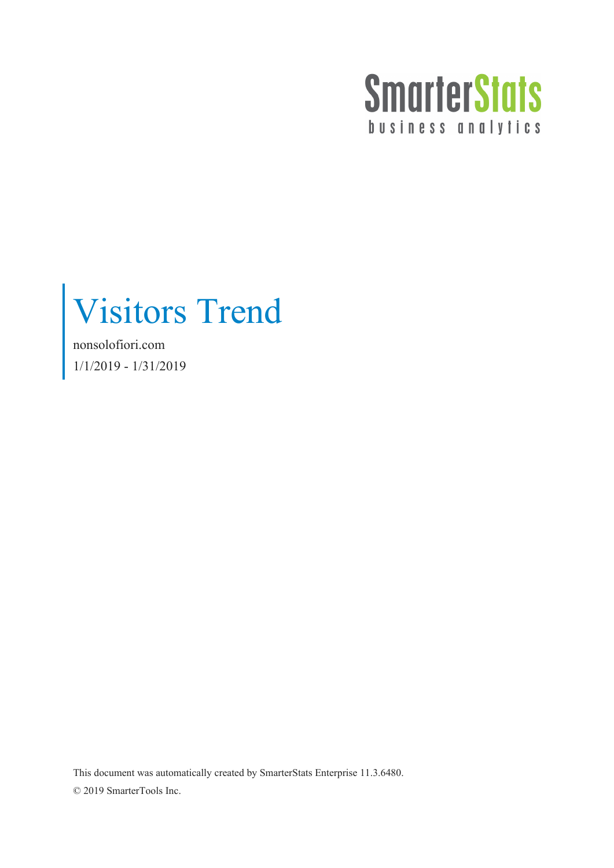

Visitors Trend

nonsolofiori.com 1/1/2019 - 1/31/2019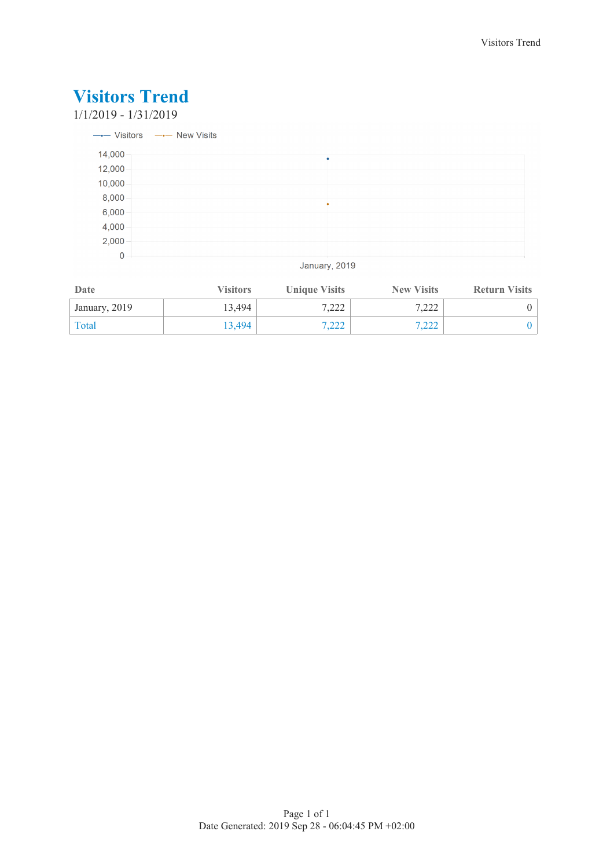1/1/2019 - 1/31/2019

|        | $\longrightarrow$ Visitors $\longrightarrow$ New Visits |
|--------|---------------------------------------------------------|
| 14,000 | ٠                                                       |
| 12,000 |                                                         |
| 10,000 |                                                         |
| 8,000  |                                                         |
| 6,000  |                                                         |
| 4,000  |                                                         |
| 2,000  |                                                         |
| 0      |                                                         |

January, 2019

| Date          | <b>Visitors</b> | <b>Unique Visits</b> | <b>New Visits</b> | <b>Return Visits</b> |
|---------------|-----------------|----------------------|-------------------|----------------------|
| January, 2019 | 13.494          | 7,222                | 7.222             |                      |
| Total         | 13.494          | 7,222                | 7.222             |                      |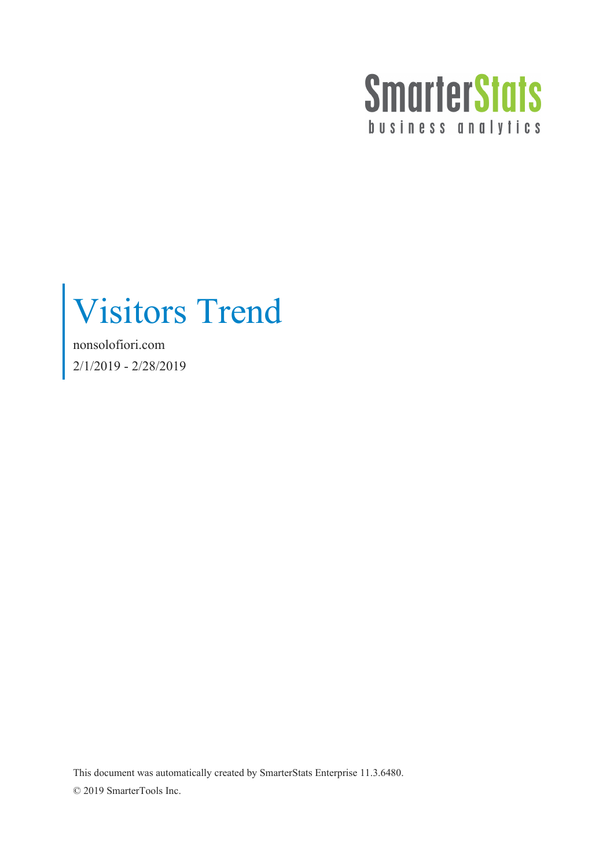

Visitors Trend

nonsolofiori.com 2/1/2019 - 2/28/2019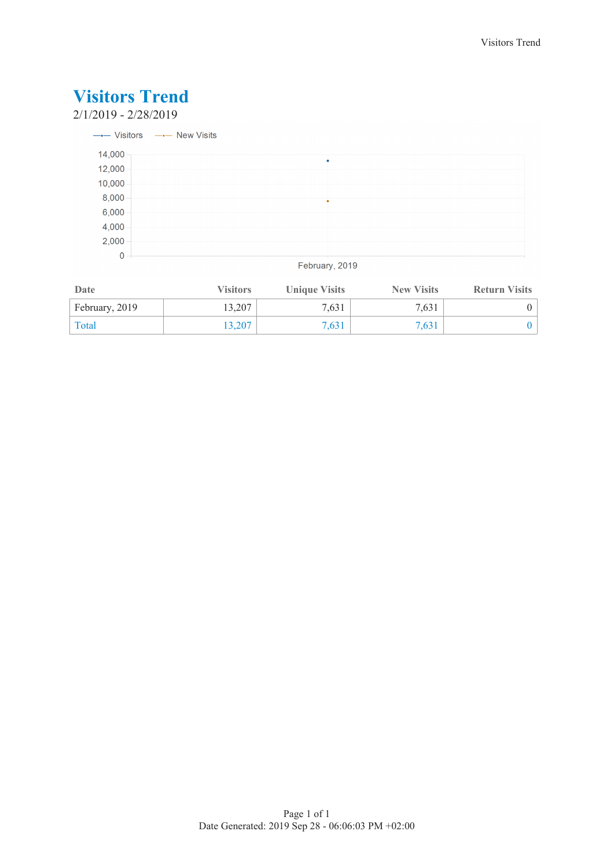2/1/2019 - 2/28/2019

|        | --- Visitors --- New Visits |
|--------|-----------------------------|
| 14,000 |                             |
| 12,000 |                             |
| 10,000 |                             |
| 8,000  | ٠                           |
| 6,000  |                             |
| 4,000  |                             |
| 2,000  |                             |
| 0      |                             |

February, 2019

| Date           | <b>Visitors</b> | <b>Unique Visits</b> | <b>New Visits</b> | <b>Return Visits</b> |
|----------------|-----------------|----------------------|-------------------|----------------------|
| February, 2019 | 13,207          | 7,631                | 7.631             |                      |
| Total          | 13.207          | 7,631                | 7.631             |                      |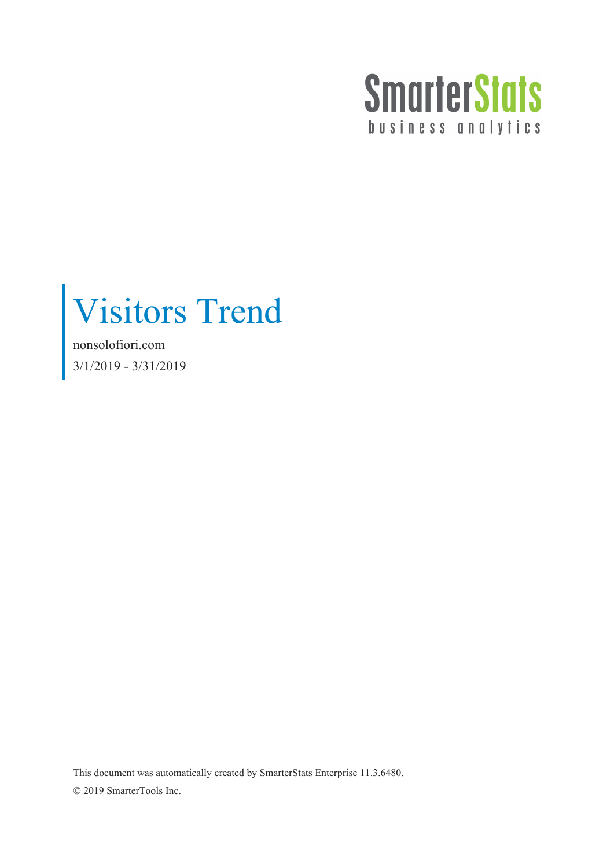

Visitors Trend

nonsolofiori.com 3/1/2019 - 3/31/2019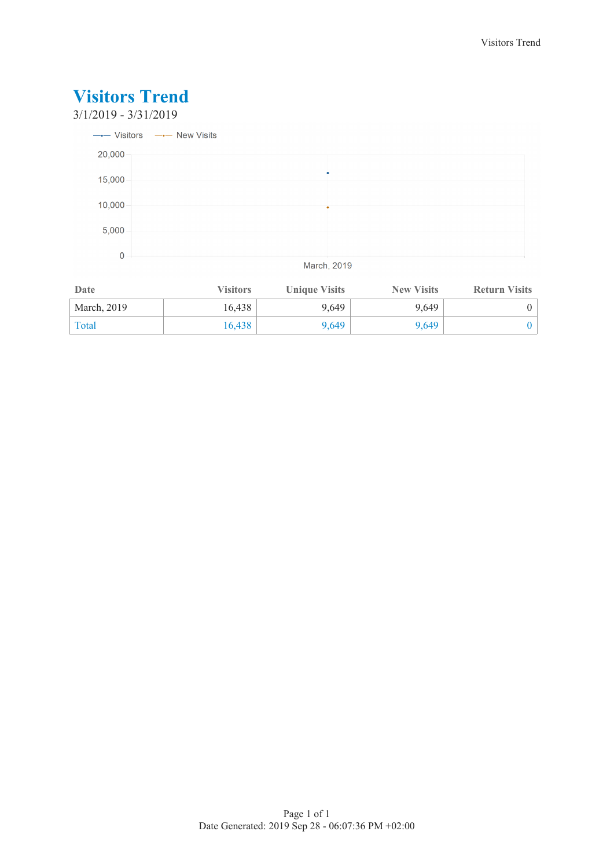

| Date        | <b>Visitors</b> | <b>Unique Visits</b> | <b>New Visits</b> | <b>Return Visits</b> |
|-------------|-----------------|----------------------|-------------------|----------------------|
| March, 2019 | 16.438          | 9.649                | 9.649             |                      |
| Total       | 16.438          | 9,649                | 9.649             |                      |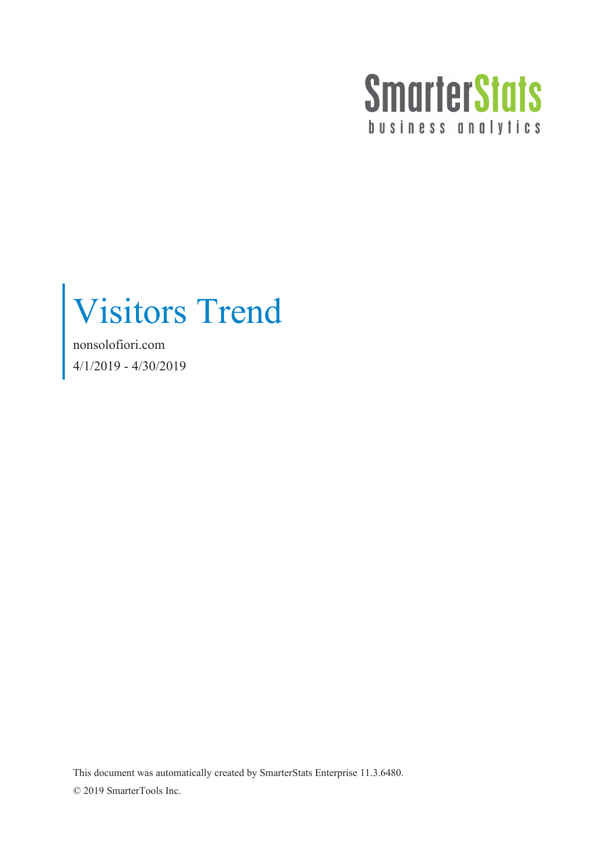

Visitors Trend

nonsolofiori.com 4/1/2019 - 4/30/2019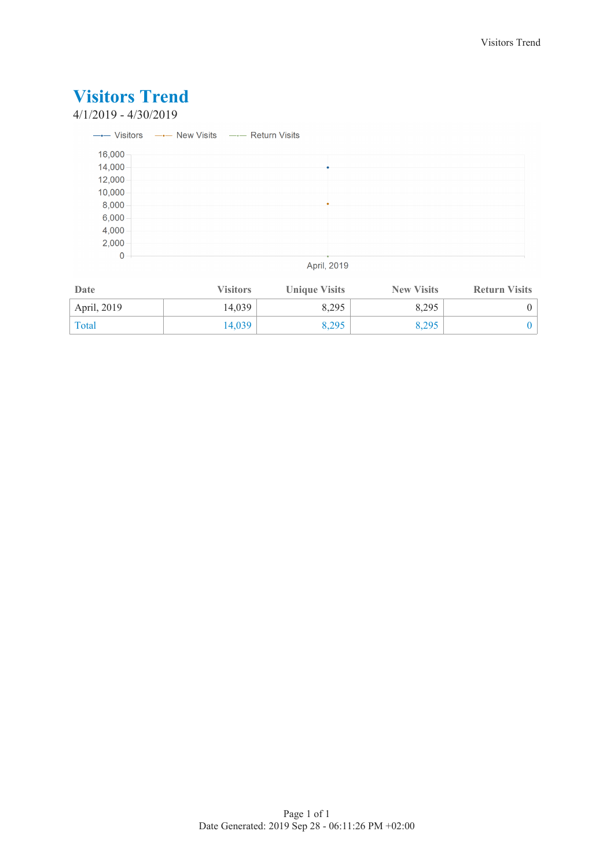### 4/1/2019 - 4/30/2019

|        | $\rightarrow$ Visitors $\rightarrow$ New Visits $\rightarrow$ Return Visits |                                        |  |  |
|--------|-----------------------------------------------------------------------------|----------------------------------------|--|--|
| 16,000 |                                                                             |                                        |  |  |
| 14,000 |                                                                             |                                        |  |  |
| 12,000 |                                                                             |                                        |  |  |
| 10,000 |                                                                             |                                        |  |  |
| 8,000  |                                                                             |                                        |  |  |
| 6,000  |                                                                             |                                        |  |  |
| 4,000  |                                                                             |                                        |  |  |
| 2,000  |                                                                             |                                        |  |  |
| 0      |                                                                             |                                        |  |  |
|        |                                                                             | $\mathbf{A}$ $\mathbf{B}$ $\mathbf{A}$ |  |  |

#### April, 2019

| Date        | <b>Visitors</b> | <b>Unique Visits</b> | <b>New Visits</b> | <b>Return Visits</b> |
|-------------|-----------------|----------------------|-------------------|----------------------|
| April, 2019 | 14.039          | 8,295                | 8.295             |                      |
| Total       | 14.039          | 8,295                | 8,295             |                      |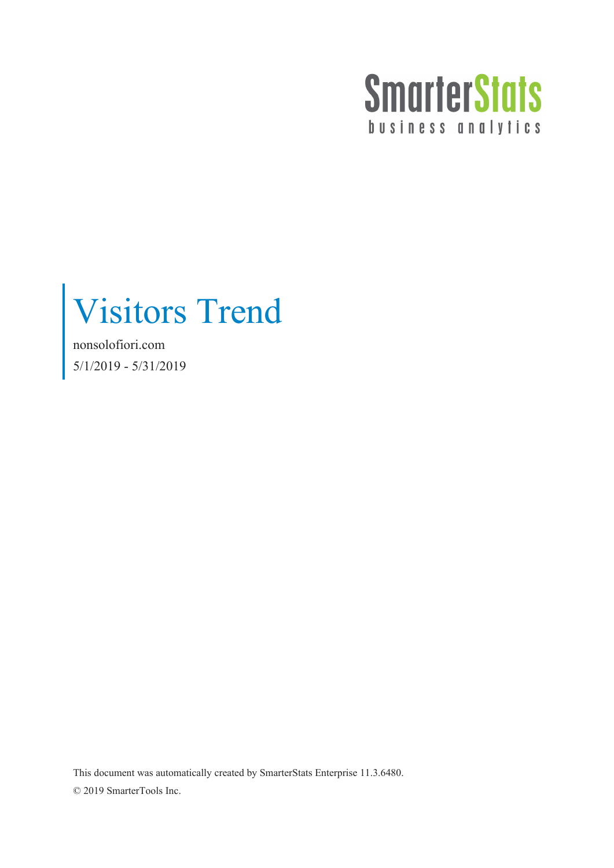

Visitors Trend

nonsolofiori.com 5/1/2019 - 5/31/2019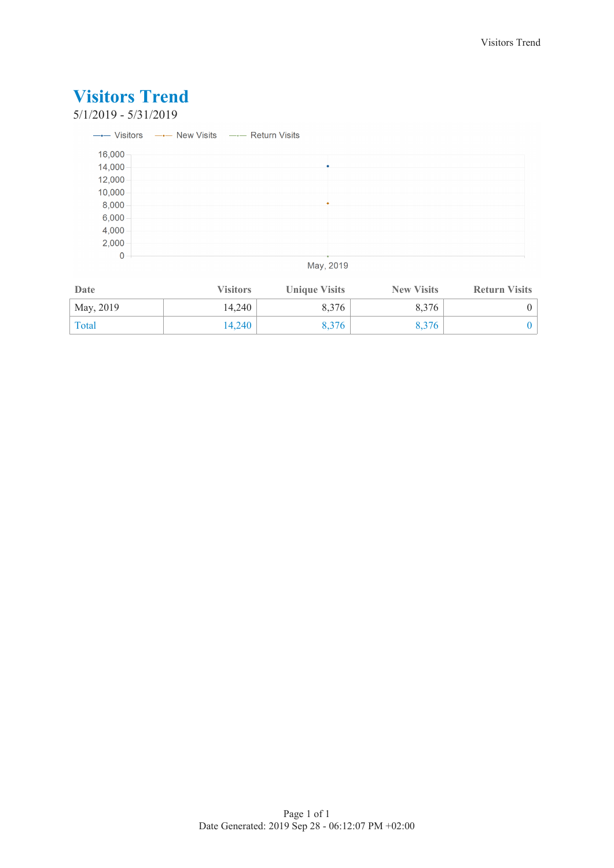### 5/1/2019 - 5/31/2019

|             | $\rightarrow$ Visitors $\rightarrow$ New Visits $\rightarrow$ Return Visits |   |  |  |
|-------------|-----------------------------------------------------------------------------|---|--|--|
| 16,000      |                                                                             |   |  |  |
| 14,000      |                                                                             |   |  |  |
| 12,000      |                                                                             |   |  |  |
| 10,000      |                                                                             |   |  |  |
| 8,000       |                                                                             | ٠ |  |  |
| 6,000       |                                                                             |   |  |  |
| 4,000       |                                                                             |   |  |  |
| 2,000       |                                                                             |   |  |  |
| $\mathbf 0$ |                                                                             |   |  |  |
|             |                                                                             | . |  |  |

### May, 2019

| Date      | <b>Visitors</b> | <b>Unique Visits</b> | <b>New Visits</b> | <b>Return Visits</b> |
|-----------|-----------------|----------------------|-------------------|----------------------|
| May, 2019 | 14,240          | 8,376                | 8.376             |                      |
| Total     | 14.240          | 8.376                | 8.376             |                      |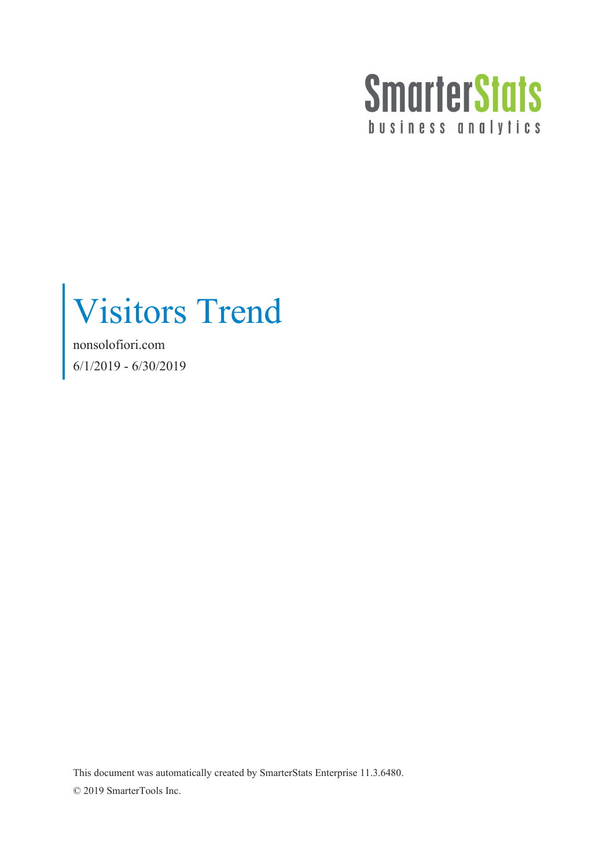

Visitors Trend

nonsolofiori.com 6/1/2019 - 6/30/2019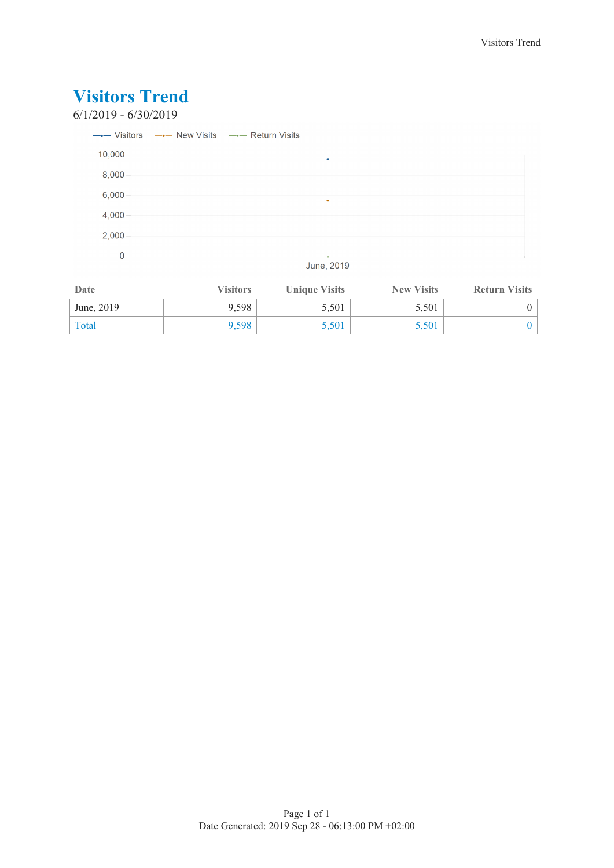### **Visitors Trend** 6/1/2019 - 6/30/2019 --- Visitors -- New Visits -- Return Visits 10,000  $8,000$ 6,000 4,000  $2,000$  $\overline{0}$ June, 2019

| Date       | <b>Visitors</b> | <b>Unique Visits</b> | <b>New Visits</b> | <b>Return Visits</b> |
|------------|-----------------|----------------------|-------------------|----------------------|
| June, 2019 | 9.598           | 5,501                | 5,501             |                      |
| Total      | 9.598           | 5,501                | 5,501             |                      |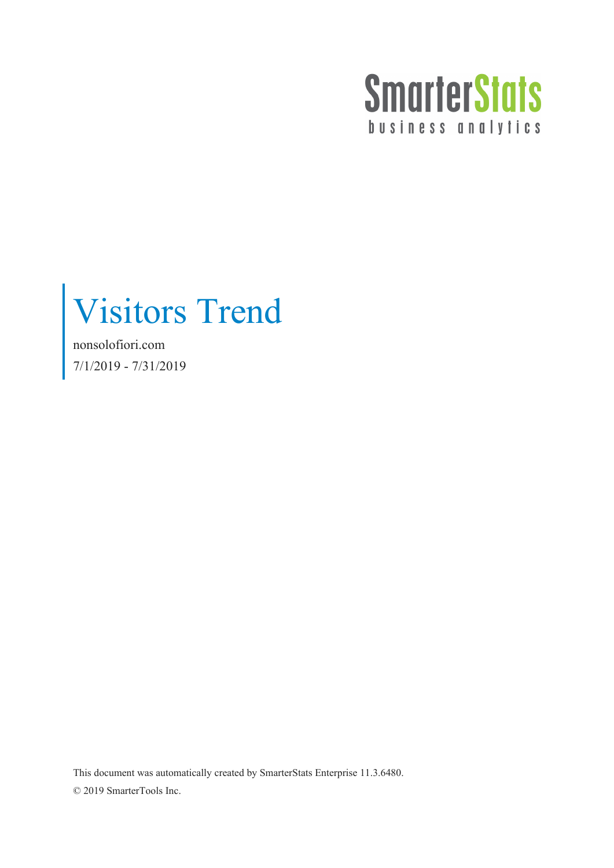

Visitors Trend

nonsolofiori.com 7/1/2019 - 7/31/2019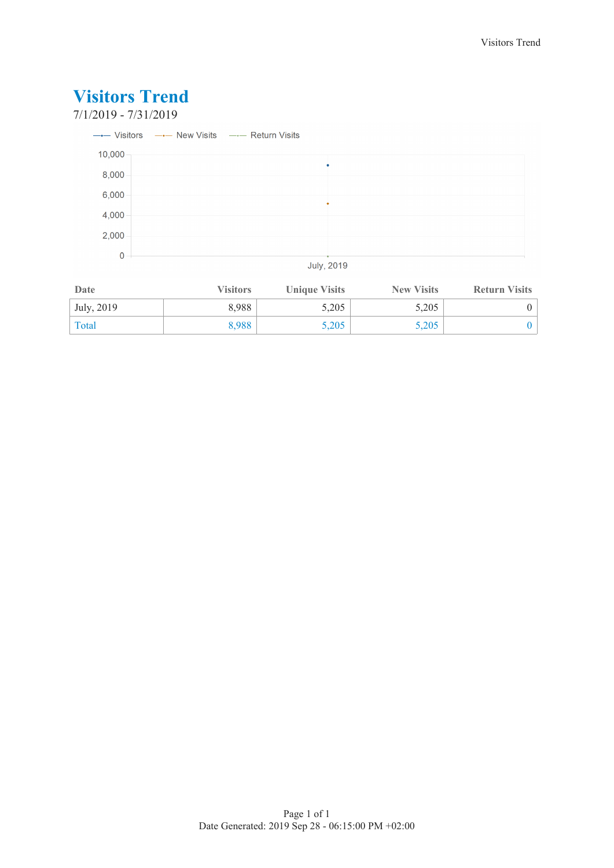

| Date       | <b>Visitors</b> | <b>Unique Visits</b> | <b>New Visits</b> | <b>Return Visits</b> |
|------------|-----------------|----------------------|-------------------|----------------------|
| July, 2019 | 8.988           | 5,205                | 5,205             |                      |
| Total      | 8,988           | 5,205                | 5,205             |                      |

#### Page 1 of 1 Date Generated: 2019 Sep 28 - 06:15:00 PM +02:00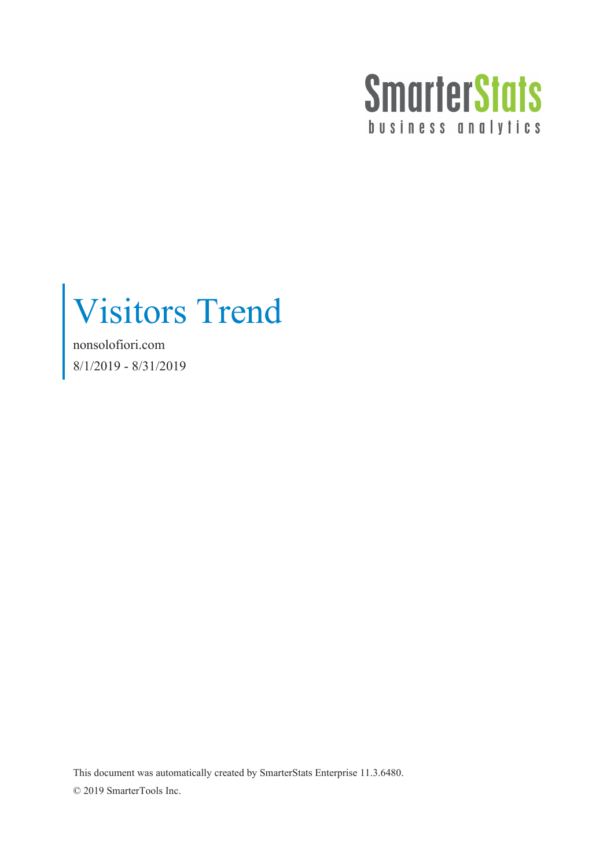

Visitors Trend

nonsolofiori.com 8/1/2019 - 8/31/2019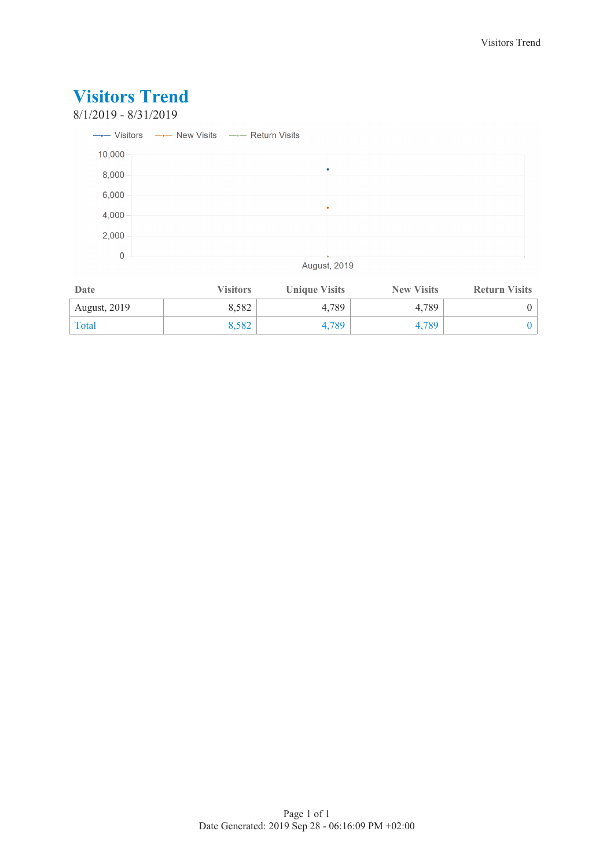### **Visitors Trend** 8/1/2019 - 8/31/2019 --- Visitors --- New Visits --- Return Visits 10,000  $8,000$ 6,000 4,000  $2,000$  $\overline{0}$ **August, 2019**

| Date                | <b>Visitors</b> | <b>Unique Visits</b> | <b>New Visits</b> | <b>Return Visits</b> |
|---------------------|-----------------|----------------------|-------------------|----------------------|
| <b>August, 2019</b> | 8.582           | 4.789                | 4.789             |                      |
| Total               | 8.582           | 4,789                | 4.789             |                      |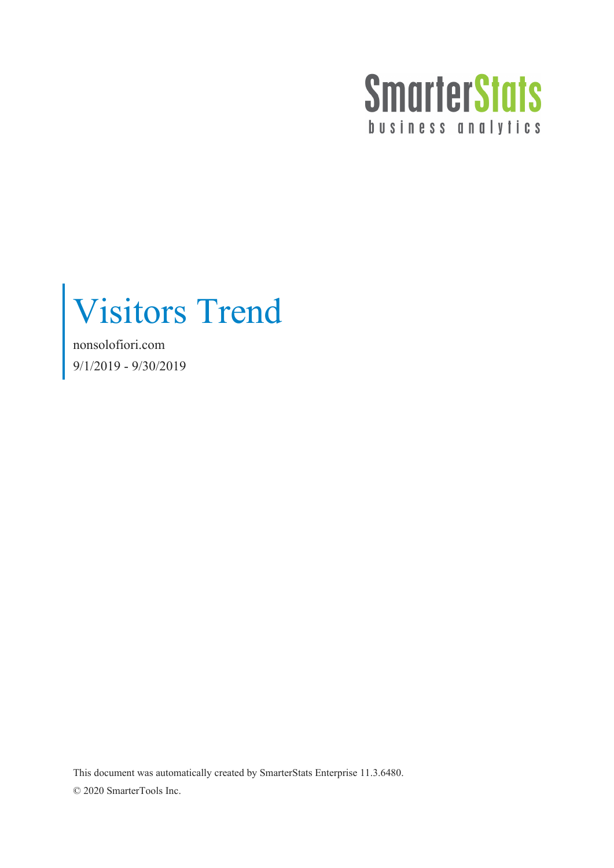

Visitors Trend

nonsolofiori.com 9/1/2019 - 9/30/2019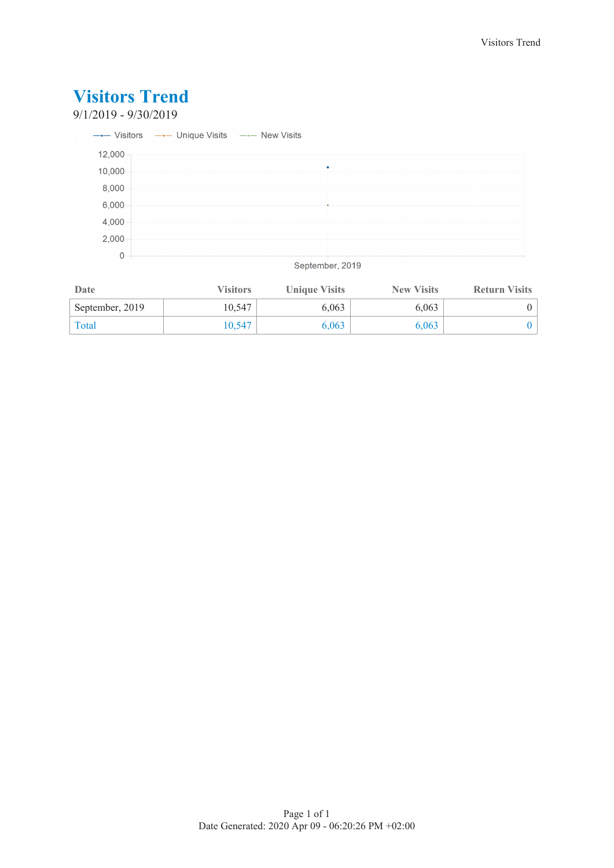### 9/1/2019 - 9/30/2019

|        | --- Visitors --- Unique Visits --- New Visits |  |
|--------|-----------------------------------------------|--|
| 12,000 |                                               |  |
| 10,000 |                                               |  |
| 8,000  |                                               |  |
| 6,000  |                                               |  |
| 4,000  |                                               |  |
| 2,000  |                                               |  |
| 0      |                                               |  |

September, 2019

| Date            | <b>Visitors</b> | <b>Unique Visits</b> | <b>New Visits</b> | <b>Return Visits</b> |
|-----------------|-----------------|----------------------|-------------------|----------------------|
| September, 2019 | 10.547          | 6,063                | 6,063             |                      |
| Total           | 10.547          | 6,063                | 6,063             |                      |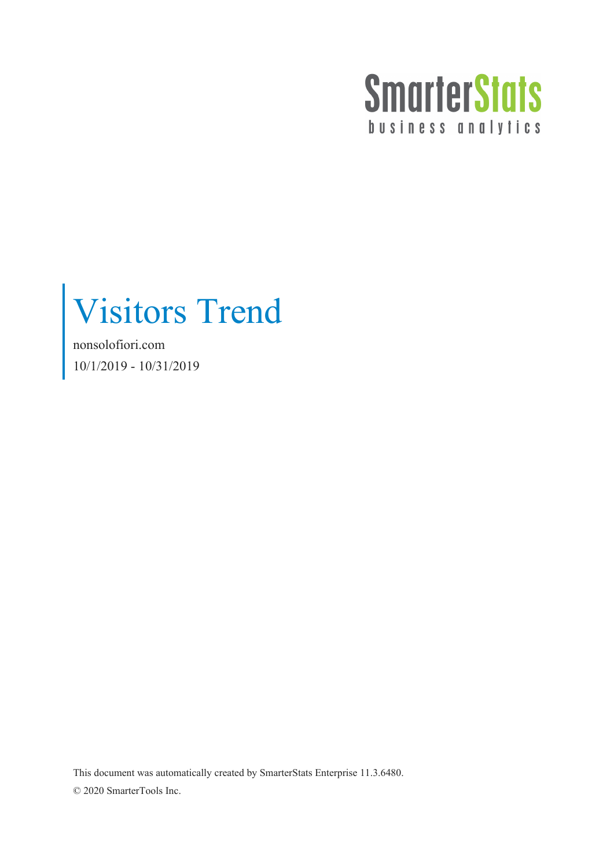

Visitors Trend

nonsolofiori.com 10/1/2019 - 10/31/2019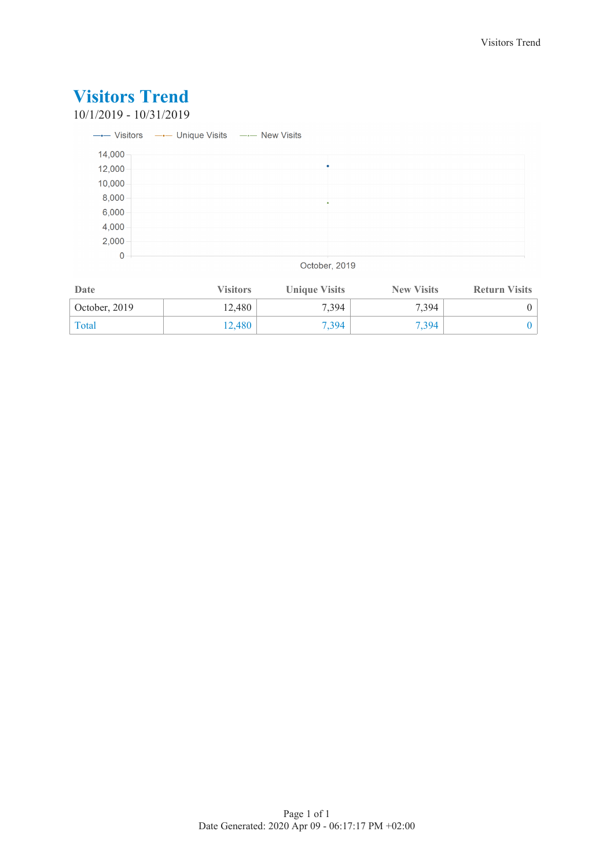10/1/2019 - 10/31/2019

|             | ---- Visitors --- Unique Visits --- New Visits |  |  |  |
|-------------|------------------------------------------------|--|--|--|
| 14,000      |                                                |  |  |  |
| 12,000      |                                                |  |  |  |
| 10,000      |                                                |  |  |  |
| 8,000       |                                                |  |  |  |
| 6,000       |                                                |  |  |  |
| 4,000       |                                                |  |  |  |
| 2,000       |                                                |  |  |  |
| $\mathbf 0$ |                                                |  |  |  |

### October, 2019

| Date          | <b>Visitors</b> | <b>Unique Visits</b> | <b>New Visits</b> | <b>Return Visits</b> |
|---------------|-----------------|----------------------|-------------------|----------------------|
| October, 2019 | 12.480          | 7,394                | 7.394             |                      |
| Total         | 12.480          | 7,394                | 7.394             |                      |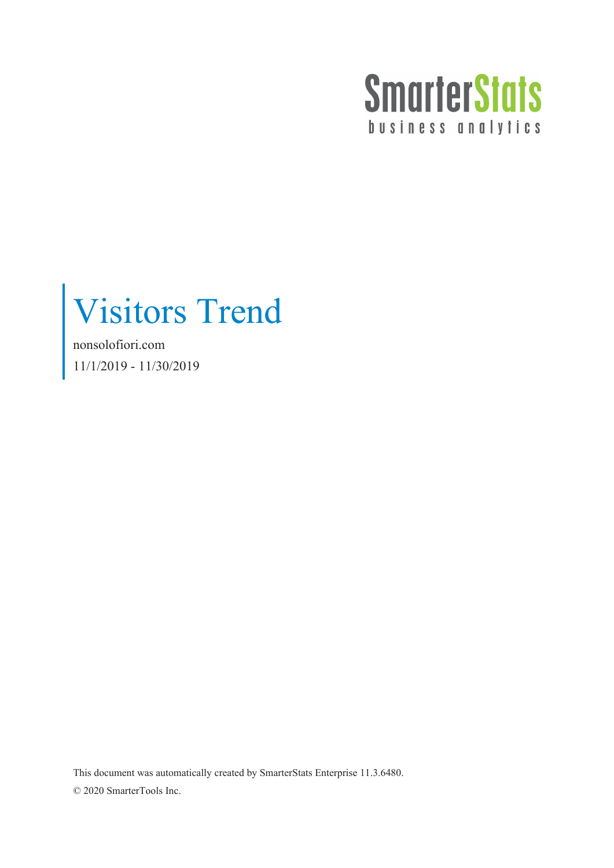

Visitors Trend

nonsolofiori.com 11/1/2019 - 11/30/2019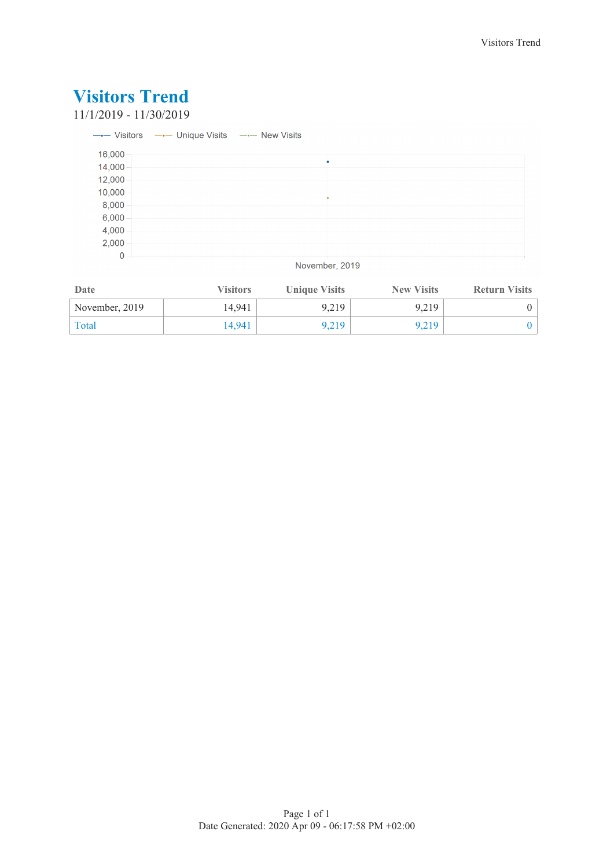11/1/2019 - 11/30/2019

|        | ---- Visitors --- Unique Visits --- New Visits |  |
|--------|------------------------------------------------|--|
| 16,000 |                                                |  |
| 14,000 | ٠                                              |  |
| 12,000 |                                                |  |
| 10,000 |                                                |  |
| 8,000  |                                                |  |
| 6,000  |                                                |  |
| 4,000  |                                                |  |
| 2,000  |                                                |  |
| 0      |                                                |  |

November, 2019

| Date           | <b>Visitors</b> | <b>Unique Visits</b> | <b>New Visits</b> | <b>Return Visits</b> |
|----------------|-----------------|----------------------|-------------------|----------------------|
| November, 2019 | 14.941          | 9.219                | 9.219             |                      |
| Total          | 14.941          | 9.219                | 9.219             |                      |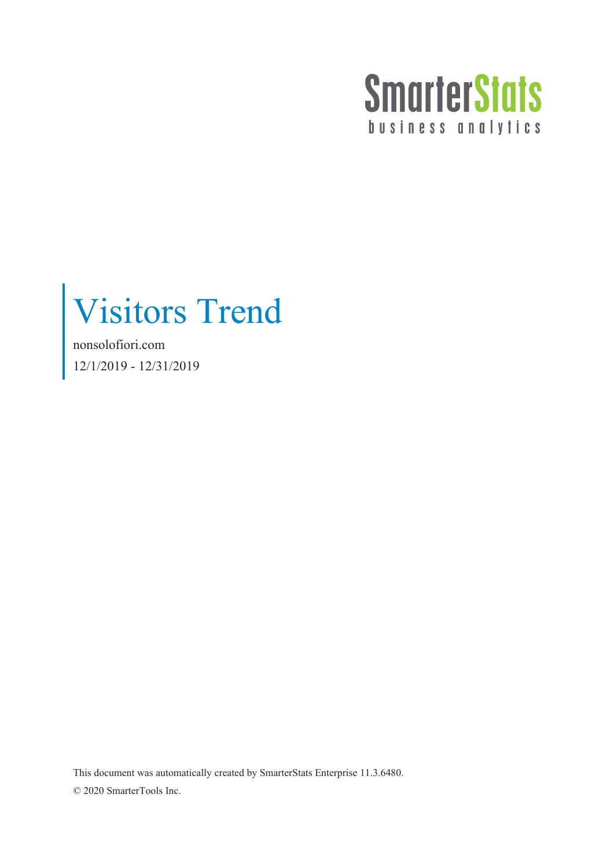

Visitors Trend

nonsolofiori.com 12/1/2019 - 12/31/2019